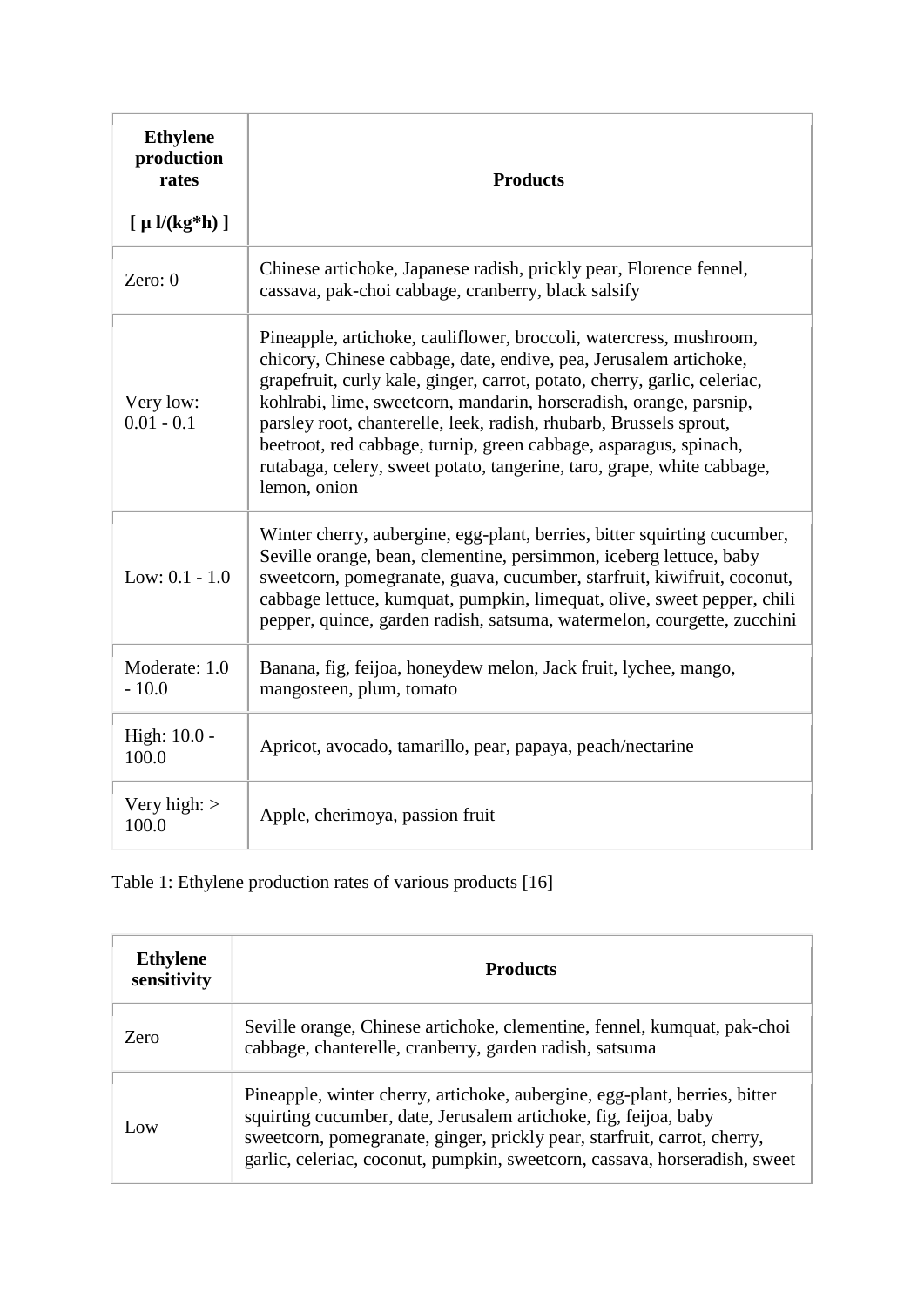| <b>Ethylene</b><br>production<br>rates | <b>Products</b>                                                                                                                                                                                                                                                                                                                                                                                                                                                                                                                 |
|----------------------------------------|---------------------------------------------------------------------------------------------------------------------------------------------------------------------------------------------------------------------------------------------------------------------------------------------------------------------------------------------------------------------------------------------------------------------------------------------------------------------------------------------------------------------------------|
| $[ \mu \frac{\nu(kg*h)}{]}$            |                                                                                                                                                                                                                                                                                                                                                                                                                                                                                                                                 |
| Zero: $0$                              | Chinese artichoke, Japanese radish, prickly pear, Florence fennel,<br>cassava, pak-choi cabbage, cranberry, black salsify                                                                                                                                                                                                                                                                                                                                                                                                       |
| Very low:<br>$0.01 - 0.1$              | Pineapple, artichoke, cauliflower, broccoli, watercress, mushroom,<br>chicory, Chinese cabbage, date, endive, pea, Jerusalem artichoke,<br>grapefruit, curly kale, ginger, carrot, potato, cherry, garlic, celeriac,<br>kohlrabi, lime, sweetcorn, mandarin, horseradish, orange, parsnip,<br>parsley root, chanterelle, leek, radish, rhubarb, Brussels sprout,<br>beetroot, red cabbage, turnip, green cabbage, asparagus, spinach,<br>rutabaga, celery, sweet potato, tangerine, taro, grape, white cabbage,<br>lemon, onion |
| Low: $0.1 - 1.0$                       | Winter cherry, aubergine, egg-plant, berries, bitter squirting cucumber,<br>Seville orange, bean, clementine, persimmon, iceberg lettuce, baby<br>sweetcorn, pomegranate, guava, cucumber, starfruit, kiwifruit, coconut,<br>cabbage lettuce, kumquat, pumpkin, limequat, olive, sweet pepper, chili<br>pepper, quince, garden radish, satsuma, watermelon, courgette, zucchini                                                                                                                                                 |
| Moderate: 1.0<br>$-10.0$               | Banana, fig, feijoa, honeydew melon, Jack fruit, lychee, mango,<br>mangosteen, plum, tomato                                                                                                                                                                                                                                                                                                                                                                                                                                     |
| High: 10.0 -<br>100.0                  | Apricot, avocado, tamarillo, pear, papaya, peach/nectarine                                                                                                                                                                                                                                                                                                                                                                                                                                                                      |
| Very high: $>$<br>100.0                | Apple, cherimoya, passion fruit                                                                                                                                                                                                                                                                                                                                                                                                                                                                                                 |

Table 1: Ethylene production rates of various products [16]

| <b>Ethylene</b><br>sensitivity | <b>Products</b>                                                                                                                                                                                                                                                                                          |
|--------------------------------|----------------------------------------------------------------------------------------------------------------------------------------------------------------------------------------------------------------------------------------------------------------------------------------------------------|
| Zero                           | Seville orange, Chinese artichoke, clementine, fennel, kumquat, pak-choi<br>cabbage, chanterelle, cranberry, garden radish, satsuma                                                                                                                                                                      |
| $_{\text{low}}$                | Pineapple, winter cherry, artichoke, aubergine, egg-plant, berries, bitter<br>squirting cucumber, date, Jerusalem artichoke, fig, feijoa, baby<br>sweetcorn, pomegranate, ginger, prickly pear, starfruit, carrot, cherry,<br>garlic, celeriac, coconut, pumpkin, sweetcorn, cassava, horseradish, sweet |